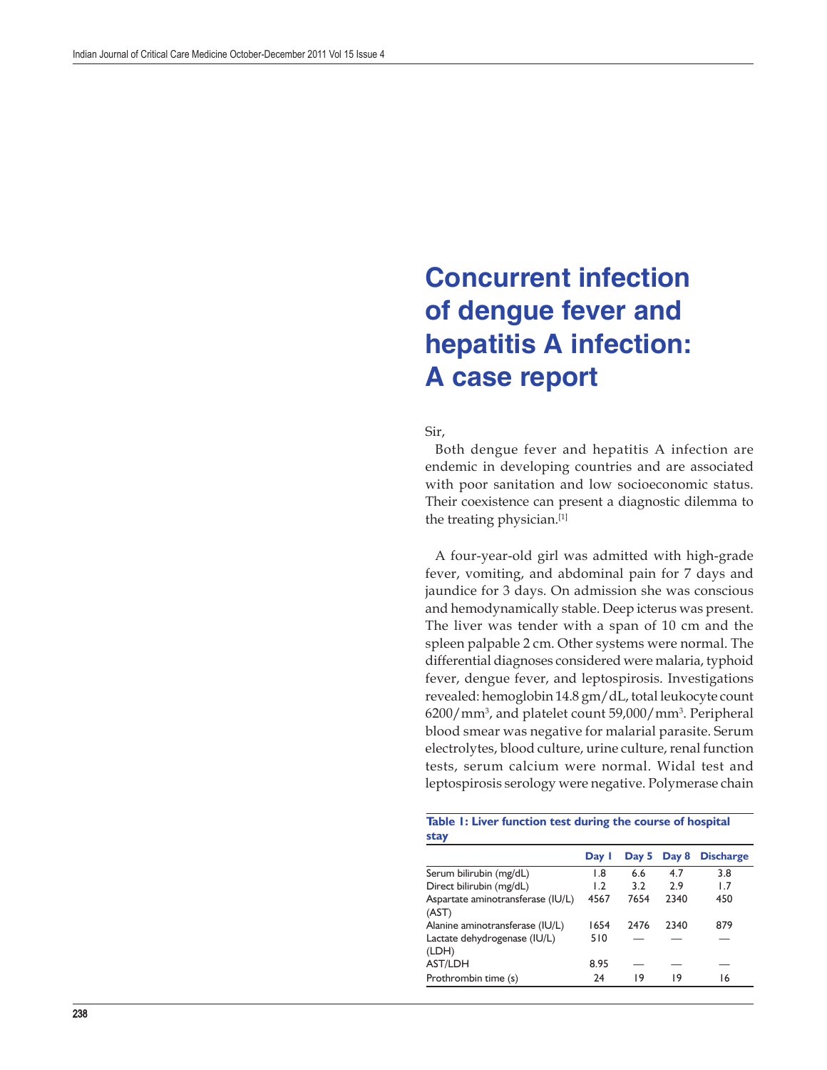## **Concurrent infection of dengue fever and hepatitis A infection: A case report**

Sir,

Both dengue fever and hepatitis A infection are endemic in developing countries and are associated with poor sanitation and low socioeconomic status. Their coexistence can present a diagnostic dilemma to the treating physician.[1]

A four-year-old girl was admitted with high-grade fever, vomiting, and abdominal pain for 7 days and jaundice for 3 days. On admission she was conscious and hemodynamically stable. Deep icterus was present. The liver was tender with a span of 10 cm and the spleen palpable 2 cm. Other systems were normal. The differential diagnoses considered were malaria, typhoid fever, dengue fever, and leptospirosis. Investigations revealed: hemoglobin 14.8 gm/dL, total leukocyte count 6200/mm3 , and platelet count 59,000/mm3 . Peripheral blood smear was negative for malarial parasite. Serum electrolytes, blood culture, urine culture, renal function tests, serum calcium were normal. Widal test and leptospirosis serology were negative. Polymerase chain

**Table 1: Liver function test during the course of hospital stay** 

|                                            | Day 1 |      | Day 5 Day 8 | <b>Discharge</b> |
|--------------------------------------------|-------|------|-------------|------------------|
| Serum bilirubin (mg/dL)                    | 1.8   | 6.6  | 4.7         | 3.8              |
| Direct bilirubin (mg/dL)                   | 1.2   | 3.2  | 2.9         | 1.7              |
| Aspartate aminotransferase (IU/L)<br>(AST) | 4567  | 7654 | 2340        | 450              |
| Alanine aminotransferase (IU/L)            | 1654  | 2476 | 2340        | 879              |
| Lactate dehydrogenase (IU/L)<br>(LDH)      | 510   |      |             |                  |
| <b>AST/LDH</b>                             | 8.95  |      |             |                  |
| Prothrombin time (s)                       | 24    | 19   | 19          | 16               |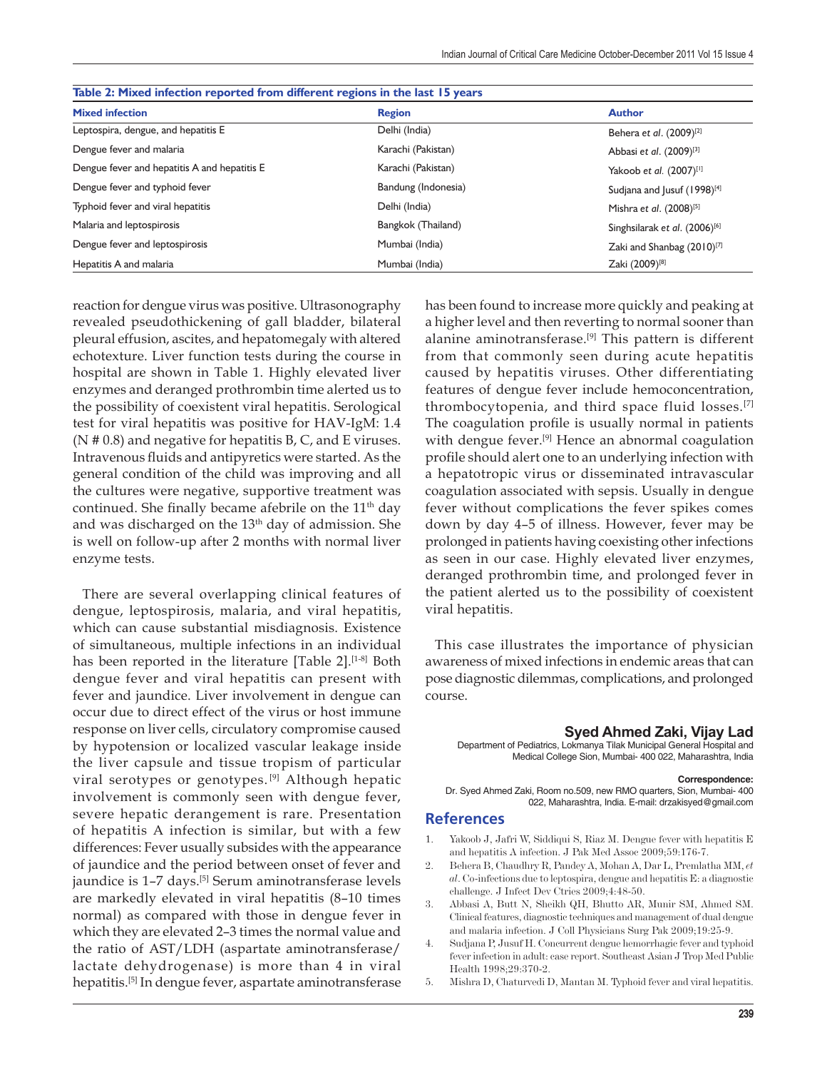| Table 2: Mixed infection reported from different regions in the last 15 years |                     |                                           |  |  |
|-------------------------------------------------------------------------------|---------------------|-------------------------------------------|--|--|
| <b>Mixed infection</b>                                                        | <b>Region</b>       | <b>Author</b>                             |  |  |
| Leptospira, dengue, and hepatitis E                                           | Delhi (India)       | Behera et al. (2009) <sup>[2]</sup>       |  |  |
| Dengue fever and malaria                                                      | Karachi (Pakistan)  | Abbasi et al. (2009) <sup>[3]</sup>       |  |  |
| Dengue fever and hepatitis A and hepatitis E                                  | Karachi (Pakistan)  | Yakoob et al. (2007)[1]                   |  |  |
| Dengue fever and typhoid fever                                                | Bandung (Indonesia) | Sudjana and Jusuf (1998) <sup>[4]</sup>   |  |  |
| Typhoid fever and viral hepatitis                                             | Delhi (India)       | Mishra et al. (2008) <sup>[5]</sup>       |  |  |
| Malaria and leptospirosis                                                     | Bangkok (Thailand)  | Singhsilarak et al. (2006) <sup>[6]</sup> |  |  |
| Dengue fever and leptospirosis                                                | Mumbai (India)      | Zaki and Shanbag (2010) <sup>[7]</sup>    |  |  |
| Hepatitis A and malaria                                                       | Mumbai (India)      | Zaki (2009) <sup>[8]</sup>                |  |  |

reaction for dengue virus was positive. Ultrasonography revealed pseudothickening of gall bladder, bilateral pleural effusion, ascites, and hepatomegaly with altered echotexture. Liver function tests during the course in hospital are shown in Table 1. Highly elevated liver enzymes and deranged prothrombin time alerted us to the possibility of coexistent viral hepatitis. Serological test for viral hepatitis was positive for HAV-IgM: 1.4 ( $N \neq 0.8$ ) and negative for hepatitis B, C, and E viruses. Intravenous fluids and antipyretics were started. As the general condition of the child was improving and all the cultures were negative, supportive treatment was continued. She finally became afebrile on the  $11<sup>th</sup>$  day and was discharged on the 13<sup>th</sup> day of admission. She is well on follow-up after 2 months with normal liver enzyme tests.

There are several overlapping clinical features of dengue, leptospirosis, malaria, and viral hepatitis, which can cause substantial misdiagnosis. Existence of simultaneous, multiple infections in an individual has been reported in the literature [Table 2].<sup>[1-8]</sup> Both dengue fever and viral hepatitis can present with fever and jaundice. Liver involvement in dengue can occur due to direct effect of the virus or host immune response on liver cells, circulatory compromise caused by hypotension or localized vascular leakage inside the liver capsule and tissue tropism of particular viral serotypes or genotypes. [9] Although hepatic involvement is commonly seen with dengue fever, severe hepatic derangement is rare. Presentation of hepatitis A infection is similar, but with a few differences: Fever usually subsides with the appearance of jaundice and the period between onset of fever and jaundice is 1-7 days.<sup>[5]</sup> Serum aminotransferase levels are markedly elevated in viral hepatitis (8–10 times normal) as compared with those in dengue fever in which they are elevated 2–3 times the normal value and the ratio of AST/LDH (aspartate aminotransferase/ lactate dehydrogenase) is more than 4 in viral hepatitis.[5] In dengue fever, aspartate aminotransferase

has been found to increase more quickly and peaking at a higher level and then reverting to normal sooner than alanine aminotransferase.[9] This pattern is different from that commonly seen during acute hepatitis caused by hepatitis viruses. Other differentiating features of dengue fever include hemoconcentration, thrombocytopenia, and third space fluid losses.[7] The coagulation profile is usually normal in patients with dengue fever.<sup>[9]</sup> Hence an abnormal coagulation profile should alert one to an underlying infection with a hepatotropic virus or disseminated intravascular coagulation associated with sepsis. Usually in dengue fever without complications the fever spikes comes down by day 4–5 of illness. However, fever may be prolonged in patients having coexisting other infections as seen in our case. Highly elevated liver enzymes, deranged prothrombin time, and prolonged fever in the patient alerted us to the possibility of coexistent viral hepatitis.

This case illustrates the importance of physician awareness of mixed infections in endemic areas that can pose diagnostic dilemmas, complications, and prolonged course.

## **Syed Ahmed Zaki, Vijay Lad**

Department of Pediatrics, Lokmanya Tilak Municipal General Hospital and Medical College Sion, Mumbai- 400 022, Maharashtra, India

## **Correspondence:**

 Dr. Syed Ahmed Zaki, Room no.509, new RMO quarters, Sion, Mumbai- 400 022, Maharashtra, India. E-mail: drzakisyed@gmail.com

## **References**

- 1. Yakoob J, Jafri W, Siddiqui S, Riaz M. Dengue fever with hepatitis E and hepatitis A infection. J Pak Med Assoc 2009;59:176-7.
- 2. Behera B, Chaudhry R, Pandey A, Mohan A, Dar L, Premlatha MM, *et al*. Co-infections due to leptospira, dengue and hepatitis E: a diagnostic challenge. J Infect Dev Ctries 2009;4:48-50.
- 3. Abbasi A, Butt N, Sheikh QH, Bhutto AR, Munir SM, Ahmed SM. Clinical features, diagnostic techniques and management of dual dengue and malaria infection. J Coll Physicians Surg Pak 2009;19:25-9.
- 4. Sudjana P, Jusuf H. Concurrent dengue hemorrhagic fever and typhoid fever infection in adult: case report. Southeast Asian J Trop Med Public Health 1998;29:370-2.
- 5. Mishra D, Chaturvedi D, Mantan M. Typhoid fever and viral hepatitis.